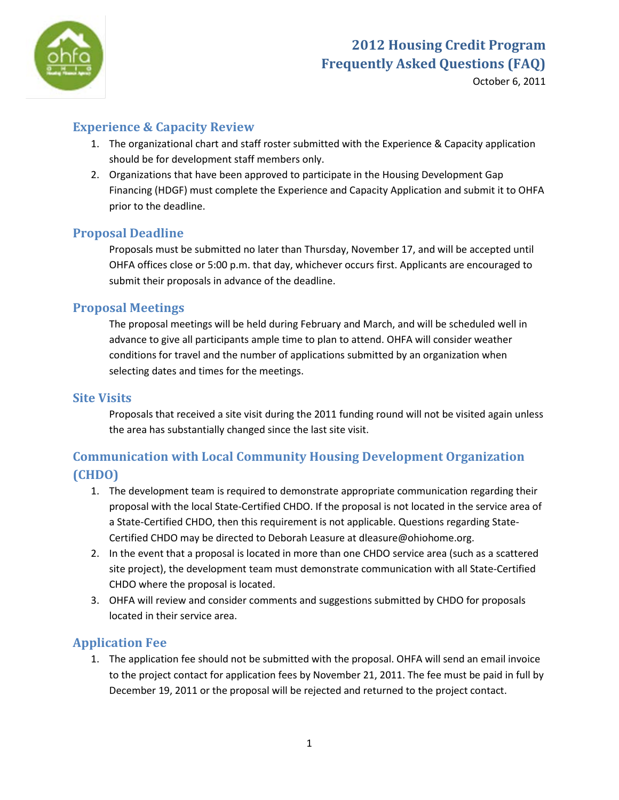

October 6, 2011

## **Experience & Capacity Review**

- 1. The organizational chart and staff roster submitted with the Experience & Capacity application should be for development staff members only.
- 2. Organizations that have been approved to participate in the Housing Development Gap Financing (HDGF) must complete the Experience and Capacity Application and submit it to OHFA prior to the deadline.

## **Proposal Deadline**

Proposals must be submitted no later than Thursday, November 17, and will be accepted until OHFA offices close or 5:00 p.m. that day, whichever occurs first. Applicants are encouraged to submit their proposals in advance of the deadline.

#### **Proposal Meetings**

The proposal meetings will be held during February and March, and will be scheduled well in advance to give all participants ample time to plan to attend. OHFA will consider weather conditions for travel and the number of applications submitted by an organization when selecting dates and times for the meetings.

#### **Site Visits**

Proposals that received a site visit during the 2011 funding round will not be visited again unless the area has substantially changed since the last site visit.

## **Communication with Local Community Housing Development Organization (CHDO)**

- 1. The development team is required to demonstrate appropriate communication regarding their proposal with the local State-Certified CHDO. If the proposal is not located in the service area of a State-Certified CHDO, then this requirement is not applicable. Questions regarding State-Certified CHDO may be directed to Deborah Leasure at dleasure@ohiohome.org.
- 2. In the event that a proposal is located in more than one CHDO service area (such as a scattered site project), the development team must demonstrate communication with all State-Certified CHDO where the proposal is located.
- 3. OHFA will review and consider comments and suggestions submitted by CHDO for proposals located in their service area.

## **Application Fee**

1. The application fee should not be submitted with the proposal. OHFA will send an email invoice to the project contact for application fees by November 21, 2011. The fee must be paid in full by December 19, 2011 or the proposal will be rejected and returned to the project contact.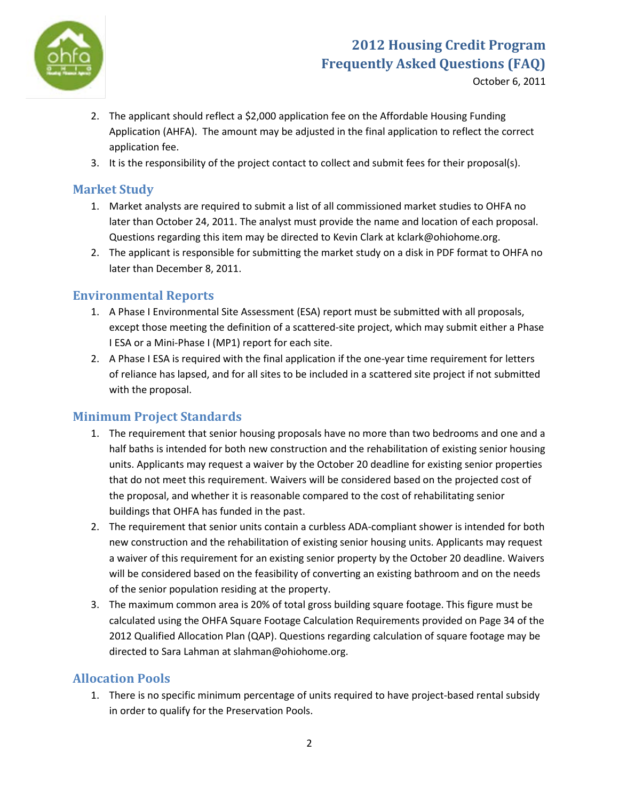

October 6, 2011

- 2. The applicant should reflect a \$2,000 application fee on the Affordable Housing Funding Application (AHFA). The amount may be adjusted in the final application to reflect the correct application fee.
- 3. It is the responsibility of the project contact to collect and submit fees for their proposal(s).

## **Market Study**

- 1. Market analysts are required to submit a list of all commissioned market studies to OHFA no later than October 24, 2011. The analyst must provide the name and location of each proposal. Questions regarding this item may be directed to Kevin Clark at kclark@ohiohome.org.
- 2. The applicant is responsible for submitting the market study on a disk in PDF format to OHFA no later than December 8, 2011.

## **Environmental Reports**

- 1. A Phase I Environmental Site Assessment (ESA) report must be submitted with all proposals, except those meeting the definition of a scattered-site project, which may submit either a Phase I ESA or a Mini-Phase I (MP1) report for each site.
- 2. A Phase I ESA is required with the final application if the one-year time requirement for letters of reliance has lapsed, and for all sites to be included in a scattered site project if not submitted with the proposal.

## **Minimum Project Standards**

- 1. The requirement that senior housing proposals have no more than two bedrooms and one and a half baths is intended for both new construction and the rehabilitation of existing senior housing units. Applicants may request a waiver by the October 20 deadline for existing senior properties that do not meet this requirement. Waivers will be considered based on the projected cost of the proposal, and whether it is reasonable compared to the cost of rehabilitating senior buildings that OHFA has funded in the past.
- 2. The requirement that senior units contain a curbless ADA-compliant shower is intended for both new construction and the rehabilitation of existing senior housing units. Applicants may request a waiver of this requirement for an existing senior property by the October 20 deadline. Waivers will be considered based on the feasibility of converting an existing bathroom and on the needs of the senior population residing at the property.
- 3. The maximum common area is 20% of total gross building square footage. This figure must be calculated using the OHFA Square Footage Calculation Requirements provided on Page 34 of the 2012 Qualified Allocation Plan (QAP). Questions regarding calculation of square footage may be directed to Sara Lahman at slahman@ohiohome.org.

## **Allocation Pools**

1. There is no specific minimum percentage of units required to have project-based rental subsidy in order to qualify for the Preservation Pools.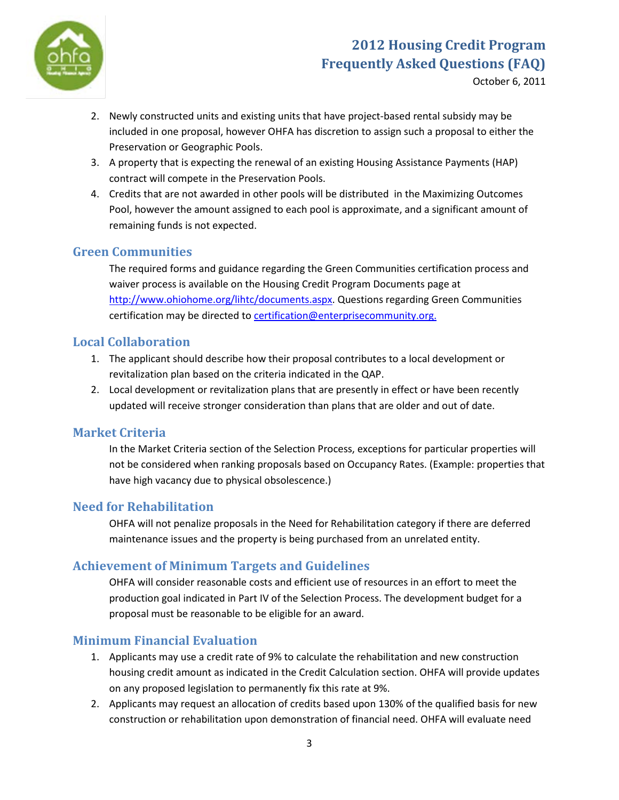

October 6, 2011

- 2. Newly constructed units and existing units that have project-based rental subsidy may be included in one proposal, however OHFA has discretion to assign such a proposal to either the Preservation or Geographic Pools.
- 3. A property that is expecting the renewal of an existing Housing Assistance Payments (HAP) contract will compete in the Preservation Pools.
- 4. Credits that are not awarded in other pools will be distributed in the Maximizing Outcomes Pool, however the amount assigned to each pool is approximate, and a significant amount of remaining funds is not expected.

## **Green Communities**

The required forms and guidance regarding the Green Communities certification process and waiver process is available on the Housing Credit Program Documents page at [http://www.ohiohome.org/lihtc/documents.aspx.](http://www.ohiohome.org/lihtc/documents.aspx) Questions regarding Green Communities certification may be directed to **certification@enterprisecommunity.org.** 

#### **Local Collaboration**

- 1. The applicant should describe how their proposal contributes to a local development or revitalization plan based on the criteria indicated in the QAP.
- 2. Local development or revitalization plans that are presently in effect or have been recently updated will receive stronger consideration than plans that are older and out of date.

#### **Market Criteria**

In the Market Criteria section of the Selection Process, exceptions for particular properties will not be considered when ranking proposals based on Occupancy Rates. (Example: properties that have high vacancy due to physical obsolescence.)

## **Need for Rehabilitation**

OHFA will not penalize proposals in the Need for Rehabilitation category if there are deferred maintenance issues and the property is being purchased from an unrelated entity.

## **Achievement of Minimum Targets and Guidelines**

OHFA will consider reasonable costs and efficient use of resources in an effort to meet the production goal indicated in Part IV of the Selection Process. The development budget for a proposal must be reasonable to be eligible for an award.

## **Minimum Financial Evaluation**

- 1. Applicants may use a credit rate of 9% to calculate the rehabilitation and new construction housing credit amount as indicated in the Credit Calculation section. OHFA will provide updates on any proposed legislation to permanently fix this rate at 9%.
- 2. Applicants may request an allocation of credits based upon 130% of the qualified basis for new construction or rehabilitation upon demonstration of financial need. OHFA will evaluate need